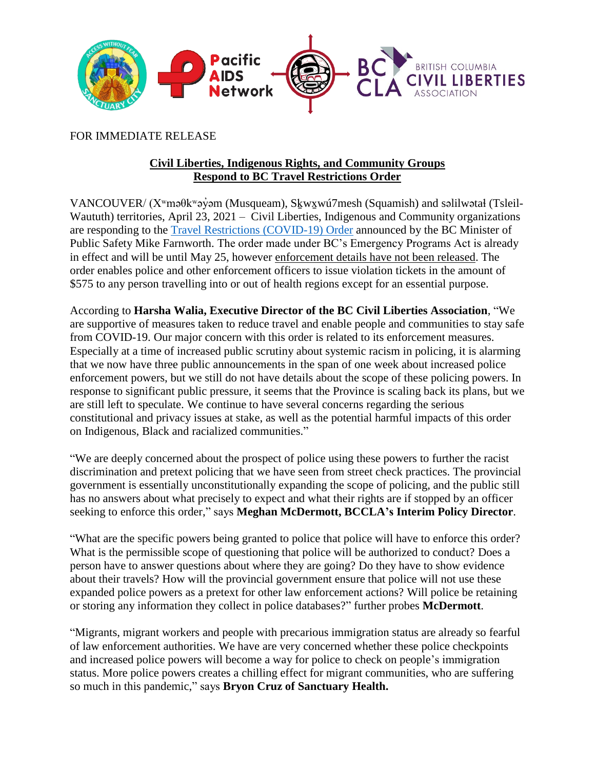

FOR IMMEDIATE RELEASE

## **Civil Liberties, Indigenous Rights, and Community Groups Respond to BC Travel Restrictions Order**

VANCOUVER/ (Xʷməθkʷəy̓əm (Musqueam), Sḵwx̱wú7mesh (Squamish) and səlilwətaɬ (Tsleil-Waututh) territories, April 23, 2021 – Civil Liberties, Indigenous and Community organizations are responding to the [Travel Restrictions \(COVID-19\) Order](https://www.bclaws.gov.bc.ca/civix/document/id/mo/mo/m0172_2021) announced by the BC Minister of Public Safety Mike Farnworth. The order made under BC's Emergency Programs Act is already in effect and will be until May 25, however enforcement details have not been released. The order enables police and other enforcement officers to issue violation tickets in the amount of \$575 to any person travelling into or out of health regions except for an essential purpose.

According to **Harsha Walia, Executive Director of the BC Civil Liberties Association**, "We are supportive of measures taken to reduce travel and enable people and communities to stay safe from COVID-19. Our major concern with this order is related to its enforcement measures. Especially at a time of increased public scrutiny about systemic racism in policing, it is alarming that we now have three public announcements in the span of one week about increased police enforcement powers, but we still do not have details about the scope of these policing powers. In response to significant public pressure, it seems that the Province is scaling back its plans, but we are still left to speculate. We continue to have several concerns regarding the serious constitutional and privacy issues at stake, as well as the potential harmful impacts of this order on Indigenous, Black and racialized communities."

"We are deeply concerned about the prospect of police using these powers to further the racist discrimination and pretext policing that we have seen from street check practices. The provincial government is essentially unconstitutionally expanding the scope of policing, and the public still has no answers about what precisely to expect and what their rights are if stopped by an officer seeking to enforce this order," says **Meghan McDermott, BCCLA's Interim Policy Director**.

"What are the specific powers being granted to police that police will have to enforce this order? What is the permissible scope of questioning that police will be authorized to conduct? Does a person have to answer questions about where they are going? Do they have to show evidence about their travels? How will the provincial government ensure that police will not use these expanded police powers as a pretext for other law enforcement actions? Will police be retaining or storing any information they collect in police databases?" further probes **McDermott**.

"Migrants, migrant workers and people with precarious immigration status are already so fearful of law enforcement authorities. We have are very concerned whether these police checkpoints and increased police powers will become a way for police to check on people's immigration status. More police powers creates a chilling effect for migrant communities, who are suffering so much in this pandemic," says **Bryon Cruz of Sanctuary Health.**